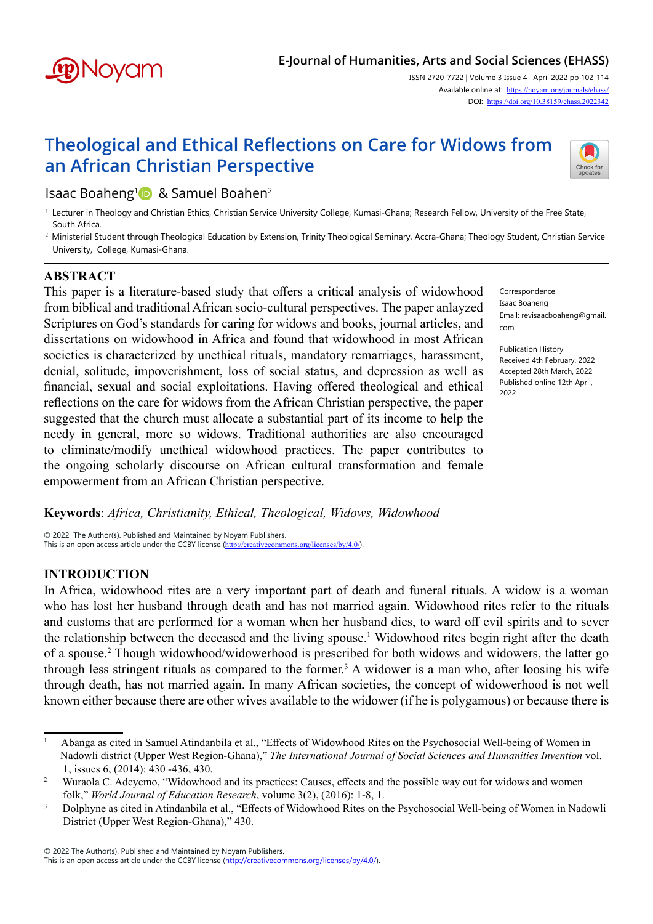

## **E-Journal of Humanities, Arts and Social Sciences (EHASS)**

ISSN 2720-7722 | Volume 3 Issue 4– April 2022 pp 102-114 Available online at: <https://noyam.org/journals/ehass/> DOI: <https://doi.org/10.38159/ehass.2022342>

# **Theological and Ethical Reflections on Care for Widows from an African Christian Perspective**



# Isaac Boaheng<sup>1</sup> & Samuel Boahen<sup>2</sup>

- <sup>1</sup> Lecturer in Theology and Christian Ethics, Christian Service University College, Kumasi-Ghana; Research Fellow, University of the Free State, South Africa.
- <sup>2</sup> Ministerial Student through Theological Education by Extension, Trinity Theological Seminary, Accra-Ghana; Theology Student, Christian Service University, College, Kumasi-Ghana.

### **ABSTRACT**

This paper is a literature-based study that offers a critical analysis of widowhood from biblical and traditional African socio-cultural perspectives. The paper anlayzed Scriptures on God's standards for caring for widows and books, journal articles, and dissertations on widowhood in Africa and found that widowhood in most African societies is characterized by unethical rituals, mandatory remarriages, harassment, denial, solitude, impoverishment, loss of social status, and depression as well as financial, sexual and social exploitations. Having offered theological and ethical reflections on the care for widows from the African Christian perspective, the paper suggested that the church must allocate a substantial part of its income to help the needy in general, more so widows. Traditional authorities are also encouraged to eliminate/modify unethical widowhood practices. The paper contributes to the ongoing scholarly discourse on African cultural transformation and female empowerment from an African Christian perspective.

Correspondence Isaac Boaheng Email: revisaacboaheng@gmail. com

Publication History Received 4th February, 2022 Accepted 28th March, 2022 Published online 12th April, 2022

#### **Keywords**: *Africa, Christianity, Ethical, Theological, Widows, Widowhood*

© 2022 The Author(s). Published and Maintained by Noyam Publishers.<br>This is an open access article under the CCBY license (http://creativecommons.org/licenses/by/4.0/) This is an open access article under the CCBY license (http://creativecom

#### **INTRODUCTION**

In Africa, widowhood rites are a very important part of death and funeral rituals. A widow is a woman who has lost her husband through death and has not married again. Widowhood rites refer to the rituals and customs that are performed for a woman when her husband dies, to ward off evil spirits and to sever the relationship between the deceased and the living spouse.<sup>1</sup> Widowhood rites begin right after the death of a spouse.<sup>2</sup> Though widowhood/widowerhood is prescribed for both widows and widowers, the latter go through less stringent rituals as compared to the former.<sup>3</sup> A widower is a man who, after loosing his wife through death, has not married again. In many African societies, the concept of widowerhood is not well known either because there are other wives available to the widower (if he is polygamous) or because there is

<sup>&</sup>lt;sup>1</sup> Abanga as cited in Samuel Atindanbila et al., "Effects of Widowhood Rites on the Psychosocial Well-being of Women in Nadowli district (Upper West Region-Ghana)," *The International Journal of Social Sciences and Humanities Invention* vol. 1, issues 6, (2014): 430 -436, 430.

<sup>&</sup>lt;sup>2</sup> Wuraola C. Adeyemo, "Widowhood and its practices: Causes, effects and the possible way out for widows and women folk," *World Journal of Education Research*, volume 3(2), (2016): 1-8, 1.

<sup>&</sup>lt;sup>3</sup> Dolphyne as cited in Atindanbila et al., "Effects of Widowhood Rites on the Psychosocial Well-being of Women in Nadowli District (Upper West Region-Ghana)," 430.

<sup>© 2022</sup> The Author(s). Published and Maintained by Noyam Publishers.

This is an open access article under the CCBY license [\(http://creativecommons.org/licenses/by/4.0/](http://creativecommons.org/licenses/by/4.0/)).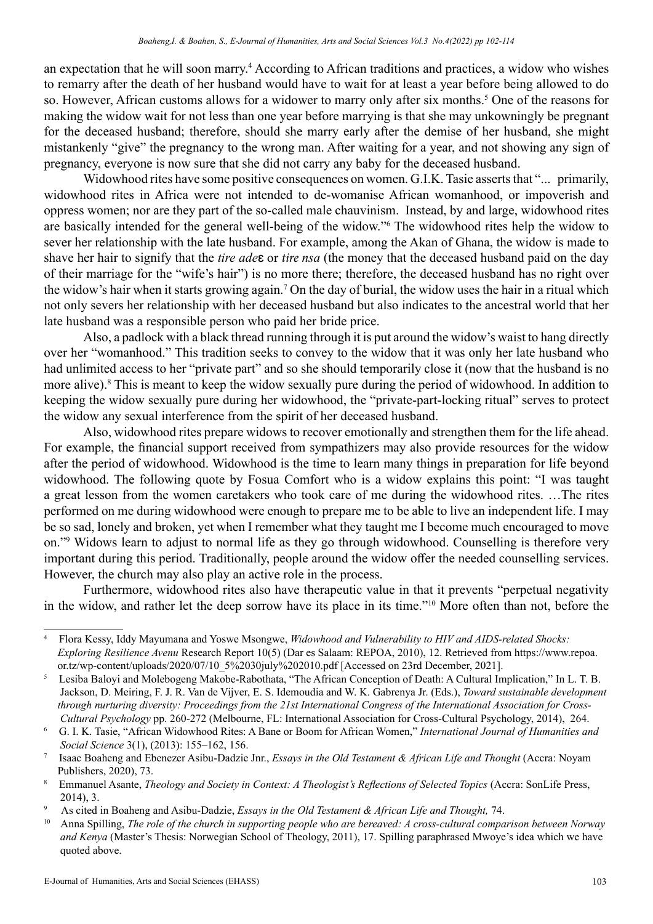an expectation that he will soon marry.<sup>4</sup> According to African traditions and practices, a widow who wishes to remarry after the death of her husband would have to wait for at least a year before being allowed to do so. However, African customs allows for a widower to marry only after six months.<sup>5</sup> One of the reasons for making the widow wait for not less than one year before marrying is that she may unkowningly be pregnant for the deceased husband; therefore, should she marry early after the demise of her husband, she might mistankenly "give" the pregnancy to the wrong man. After waiting for a year, and not showing any sign of pregnancy, everyone is now sure that she did not carry any baby for the deceased husband.

Widowhood rites have some positive consequences on women. G.I.K. Tasie asserts that "... primarily, widowhood rites in Africa were not intended to de-womanise African womanhood, or impoverish and oppress women; nor are they part of the so-called male chauvinism. Instead, by and large, widowhood rites are basically intended for the general well-being of the widow."6 The widowhood rites help the widow to sever her relationship with the late husband. For example, among the Akan of Ghana, the widow is made to shave her hair to signify that the *tire ade*ɛ or *tire nsa* (the money that the deceased husband paid on the day of their marriage for the "wife's hair") is no more there; therefore, the deceased husband has no right over the widow's hair when it starts growing again.<sup>7</sup> On the day of burial, the widow uses the hair in a ritual which not only severs her relationship with her deceased husband but also indicates to the ancestral world that her late husband was a responsible person who paid her bride price.

Also, a padlock with a black thread running through it is put around the widow's waist to hang directly over her "womanhood." This tradition seeks to convey to the widow that it was only her late husband who had unlimited access to her "private part" and so she should temporarily close it (now that the husband is no more alive).<sup>8</sup> This is meant to keep the widow sexually pure during the period of widowhood. In addition to keeping the widow sexually pure during her widowhood, the "private-part-locking ritual" serves to protect the widow any sexual interference from the spirit of her deceased husband.

Also, widowhood rites prepare widows to recover emotionally and strengthen them for the life ahead. For example, the financial support received from sympathizers may also provide resources for the widow after the period of widowhood. Widowhood is the time to learn many things in preparation for life beyond widowhood. The following quote by Fosua Comfort who is a widow explains this point: "I was taught a great lesson from the women caretakers who took care of me during the widowhood rites. …The rites performed on me during widowhood were enough to prepare me to be able to live an independent life. I may be so sad, lonely and broken, yet when I remember what they taught me I become much encouraged to move on."<sup>9</sup> Widows learn to adjust to normal life as they go through widowhood. Counselling is therefore very important during this period. Traditionally, people around the widow offer the needed counselling services. However, the church may also play an active role in the process.

Furthermore, widowhood rites also have therapeutic value in that it prevents "perpetual negativity in the widow, and rather let the deep sorrow have its place in its time."<sup>10</sup> More often than not, before the

<sup>4</sup> Flora Kessy, Iddy Mayumana and Yoswe Msongwe, *Widowhood and Vulnerability to HIV and AIDS-related Shocks: Exploring Resilience Avenu* Research Report 10(5) (Dar es Salaam: REPOA, 2010), 12. Retrieved from https://www.repoa. or.tz/wp-content/uploads/2020/07/10\_5%2030july%202010.pdf [Accessed on 23rd December, 2021].

<sup>5</sup> Lesiba Baloyi and Molebogeng Makobe-Rabothata, "The African Conception of Death: A Cultural Implication," In L. T. B. Jackson, D. Meiring, F. J. R. Van de Vijver, E. S. Idemoudia and W. K. Gabrenya Jr. (Eds.), *Toward sustainable development through nurturing diversity: Proceedings from the 21st International Congress of the International Association for Cross- Cultural Psychology* pp. 260-272 (Melbourne, FL: International Association for Cross-Cultural Psychology, 2014), 264.

<sup>6</sup> G. I. K. Tasie, "African Widowhood Rites: A Bane or Boom for African Women," *International Journal of Humanities and Social Science* 3(1), (2013): 155–162, 156.

<sup>7</sup> Isaac Boaheng and Ebenezer Asibu-Dadzie Jnr., *Essays in the Old Testament & African Life and Thought* (Accra: Noyam Publishers, 2020), 73.

<sup>8</sup> Emmanuel Asante, *Theology and Society in Context: A Theologist's Reflections of Selected Topics* (Accra: SonLife Press, 2014), 3.

<sup>9</sup> As cited in Boaheng and Asibu-Dadzie, *Essays in the Old Testament & African Life and Thought,* 74.

<sup>10</sup> Anna Spilling, *The role of the church in supporting people who are bereaved: A cross-cultural comparison between Norway and Kenya* (Master's Thesis: Norwegian School of Theology, 2011), 17. Spilling paraphrased Mwoye's idea which we have quoted above.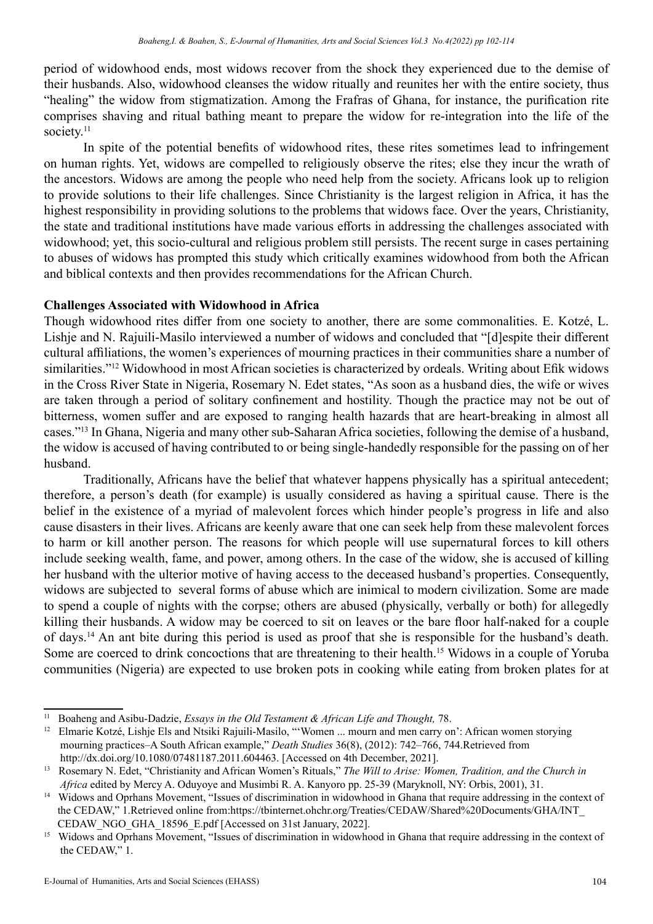period of widowhood ends, most widows recover from the shock they experienced due to the demise of their husbands. Also, widowhood cleanses the widow ritually and reunites her with the entire society, thus "healing" the widow from stigmatization. Among the Frafras of Ghana, for instance, the purification rite comprises shaving and ritual bathing meant to prepare the widow for re-integration into the life of the society.<sup>11</sup>

In spite of the potential benefits of widowhood rites, these rites sometimes lead to infringement on human rights. Yet, widows are compelled to religiously observe the rites; else they incur the wrath of the ancestors. Widows are among the people who need help from the society. Africans look up to religion to provide solutions to their life challenges. Since Christianity is the largest religion in Africa, it has the highest responsibility in providing solutions to the problems that widows face. Over the years, Christianity, the state and traditional institutions have made various efforts in addressing the challenges associated with widowhood; yet, this socio-cultural and religious problem still persists. The recent surge in cases pertaining to abuses of widows has prompted this study which critically examines widowhood from both the African and biblical contexts and then provides recommendations for the African Church.

#### **Challenges Associated with Widowhood in Africa**

Though widowhood rites differ from one society to another, there are some commonalities. E. Kotzé, L. Lishje and N. Rajuili-Masilo interviewed a number of widows and concluded that "[d]espite their different cultural affiliations, the women's experiences of mourning practices in their communities share a number of similarities."<sup>12</sup> Widowhood in most African societies is characterized by ordeals. Writing about Efik widows in the Cross River State in Nigeria, Rosemary N. Edet states, "As soon as a husband dies, the wife or wives are taken through a period of solitary confinement and hostility. Though the practice may not be out of bitterness, women suffer and are exposed to ranging health hazards that are heart-breaking in almost all cases."<sup>13</sup> In Ghana, Nigeria and many other sub-Saharan Africa societies, following the demise of a husband, the widow is accused of having contributed to or being single-handedly responsible for the passing on of her husband.

Traditionally, Africans have the belief that whatever happens physically has a spiritual antecedent; therefore, a person's death (for example) is usually considered as having a spiritual cause. There is the belief in the existence of a myriad of malevolent forces which hinder people's progress in life and also cause disasters in their lives. Africans are keenly aware that one can seek help from these malevolent forces to harm or kill another person. The reasons for which people will use supernatural forces to kill others include seeking wealth, fame, and power, among others. In the case of the widow, she is accused of killing her husband with the ulterior motive of having access to the deceased husband's properties. Consequently, widows are subjected to several forms of abuse which are inimical to modern civilization. Some are made to spend a couple of nights with the corpse; others are abused (physically, verbally or both) for allegedly killing their husbands. A widow may be coerced to sit on leaves or the bare floor half-naked for a couple of days.<sup>14</sup> An ant bite during this period is used as proof that she is responsible for the husband's death. Some are coerced to drink concoctions that are threatening to their health.<sup>15</sup> Widows in a couple of Yoruba communities (Nigeria) are expected to use broken pots in cooking while eating from broken plates for at

<sup>&</sup>lt;sup>11</sup> Boaheng and Asibu-Dadzie, *Essays in the Old Testament & African Life and Thought*, 78.

<sup>&</sup>lt;sup>12</sup> Elmarie Kotzé, Lishje Els and Ntsiki Rajuili-Masilo, "'Women ... mourn and men carry on': African women storying mourning practices–A South African example," *Death Studies* 36(8), (2012): 742–766, 744.Retrieved from http://dx.doi.org/10.1080/07481187.2011.604463. [Accessed on 4th December, 2021].

<sup>13</sup> Rosemary N. Edet, "Christianity and African Women's Rituals," *The Will to Arise: Women, Tradition, and the Church in Africa* edited by Mercy A. Oduyoye and Musimbi R. A. Kanyoro pp. 25-39 (Maryknoll, NY: Orbis, 2001), 31.

<sup>&</sup>lt;sup>14</sup> Widows and Oprhans Movement, "Issues of discrimination in widowhood in Ghana that require addressing in the context of the CEDAW," 1.Retrieved online from:https://tbinternet.ohchr.org/Treaties/CEDAW/Shared%20Documents/GHA/INT\_ CEDAW\_NGO\_GHA\_18596\_E.pdf [Accessed on 31st January, 2022].

<sup>&</sup>lt;sup>15</sup> Widows and Oprhans Movement, "Issues of discrimination in widowhood in Ghana that require addressing in the context of the CEDAW," 1.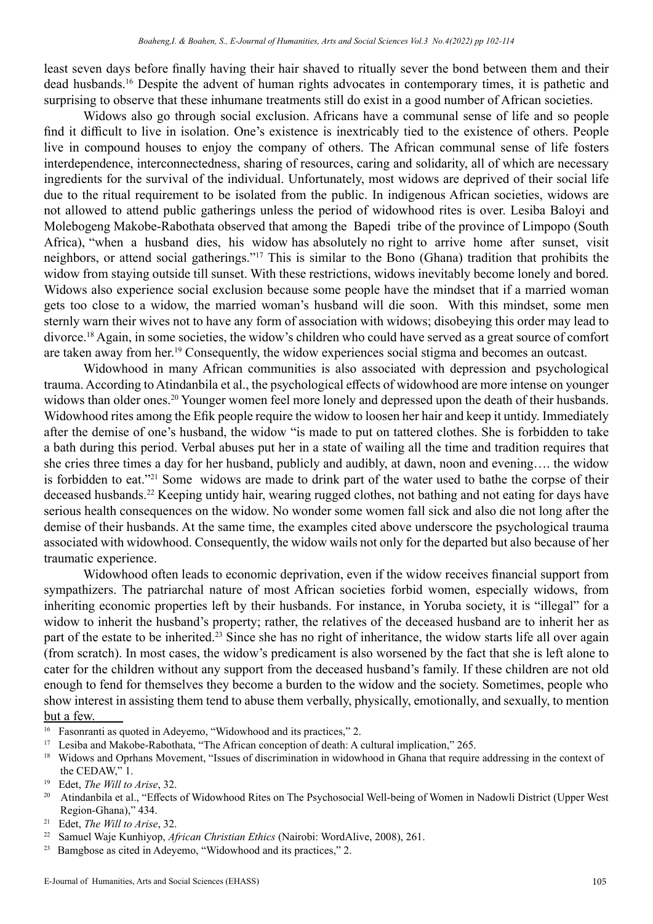least seven days before finally having their hair shaved to ritually sever the bond between them and their dead husbands.<sup>16</sup> Despite the advent of human rights advocates in contemporary times, it is pathetic and surprising to observe that these inhumane treatments still do exist in a good number of African societies.

Widows also go through social exclusion. Africans have a communal sense of life and so people find it difficult to live in isolation. One's existence is inextricably tied to the existence of others. People live in compound houses to enjoy the company of others. The African communal sense of life fosters interdependence, interconnectedness, sharing of resources, caring and solidarity, all of which are necessary ingredients for the survival of the individual. Unfortunately, most widows are deprived of their social life due to the ritual requirement to be isolated from the public. In indigenous African societies, widows are not allowed to attend public gatherings unless the period of widowhood rites is over. Lesiba Baloyi and Molebogeng Makobe-Rabothata observed that among the Bapedi tribe of the province of Limpopo (South Africa), "when a husband dies, his widow has absolutely no right to arrive home after sunset, visit neighbors, or attend social gatherings."<sup>17</sup> This is similar to the Bono (Ghana) tradition that prohibits the widow from staying outside till sunset. With these restrictions, widows inevitably become lonely and bored. Widows also experience social exclusion because some people have the mindset that if a married woman gets too close to a widow, the married woman's husband will die soon. With this mindset, some men sternly warn their wives not to have any form of association with widows; disobeying this order may lead to divorce.<sup>18</sup> Again, in some societies, the widow's children who could have served as a great source of comfort are taken away from her.<sup>19</sup> Consequently, the widow experiences social stigma and becomes an outcast.

Widowhood in many African communities is also associated with depression and psychological trauma. According to Atindanbila et al., the psychological effects of widowhood are more intense on younger widows than older ones.<sup>20</sup> Younger women feel more lonely and depressed upon the death of their husbands. Widowhood rites among the Efik people require the widow to loosen her hair and keep it untidy. Immediately after the demise of one's husband, the widow "is made to put on tattered clothes. She is forbidden to take a bath during this period. Verbal abuses put her in a state of wailing all the time and tradition requires that she cries three times a day for her husband, publicly and audibly, at dawn, noon and evening…. the widow is forbidden to eat."<sup>21</sup> Some widows are made to drink part of the water used to bathe the corpse of their deceased husbands.<sup>22</sup> Keeping untidy hair, wearing rugged clothes, not bathing and not eating for days have serious health consequences on the widow. No wonder some women fall sick and also die not long after the demise of their husbands. At the same time, the examples cited above underscore the psychological trauma associated with widowhood. Consequently, the widow wails not only for the departed but also because of her traumatic experience.

Widowhood often leads to economic deprivation, even if the widow receives financial support from sympathizers. The patriarchal nature of most African societies forbid women, especially widows, from inheriting economic properties left by their husbands. For instance, in Yoruba society, it is "illegal" for a widow to inherit the husband's property; rather, the relatives of the deceased husband are to inherit her as part of the estate to be inherited.<sup>23</sup> Since she has no right of inheritance, the widow starts life all over again (from scratch). In most cases, the widow's predicament is also worsened by the fact that she is left alone to cater for the children without any support from the deceased husband's family. If these children are not old enough to fend for themselves they become a burden to the widow and the society. Sometimes, people who show interest in assisting them tend to abuse them verbally, physically, emotionally, and sexually, to mention but a few.

<sup>16</sup> Fasonranti as quoted in Adeyemo, "Widowhood and its practices," 2.

<sup>17</sup> Lesiba and Makobe-Rabothata, "The African conception of death: A cultural implication," 265.

<sup>18</sup> Widows and Oprhans Movement, "Issues of discrimination in widowhood in Ghana that require addressing in the context of the CEDAW," 1.

<sup>19</sup> Edet, *The Will to Arise*, 32.

<sup>&</sup>lt;sup>20</sup> Atindanbila et al., "Effects of Widowhood Rites on The Psychosocial Well-being of Women in Nadowli District (Upper West Region-Ghana)," 434.

<sup>21</sup> Edet, *The Will to Arise*, 32.

<sup>22</sup> Samuel Waje Kunhiyop, *African Christian Ethics* (Nairobi: WordAlive, 2008), 261.

<sup>&</sup>lt;sup>23</sup> Bamgbose as cited in Adeyemo, "Widowhood and its practices," 2.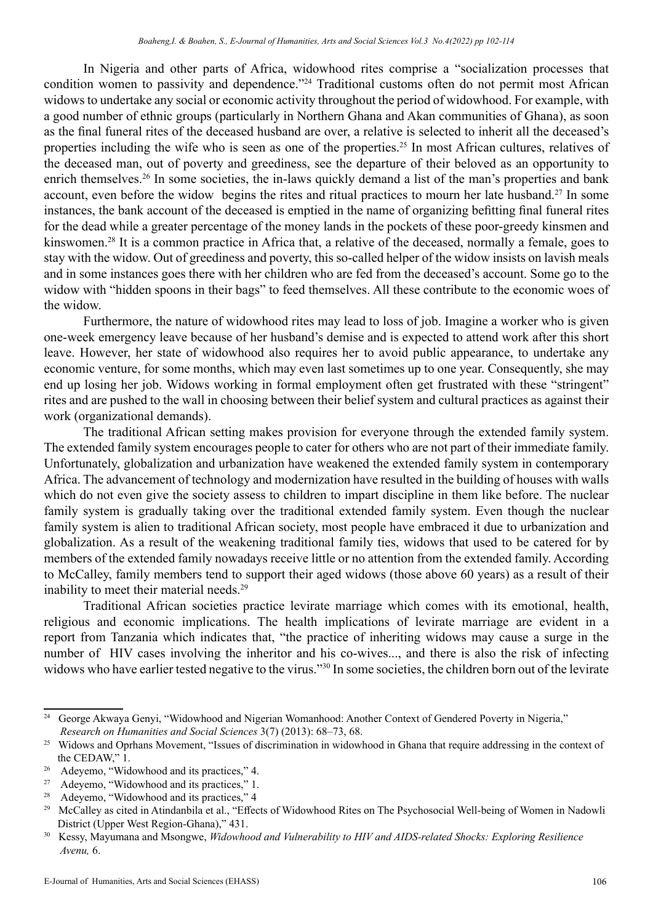In Nigeria and other parts of Africa, widowhood rites comprise a "socialization processes that condition women to passivity and dependence."<sup>24</sup> Traditional customs often do not permit most African widows to undertake any social or economic activity throughout the period of widowhood. For example, with a good number of ethnic groups (particularly in Northern Ghana and Akan communities of Ghana), as soon as the final funeral rites of the deceased husband are over, a relative is selected to inherit all the deceased's properties including the wife who is seen as one of the properties.<sup>25</sup> In most African cultures, relatives of the deceased man, out of poverty and greediness, see the departure of their beloved as an opportunity to enrich themselves.<sup>26</sup> In some societies, the in-laws quickly demand a list of the man's properties and bank account, even before the widow begins the rites and ritual practices to mourn her late husband.<sup>27</sup> In some instances, the bank account of the deceased is emptied in the name of organizing befitting final funeral rites for the dead while a greater percentage of the money lands in the pockets of these poor-greedy kinsmen and kinswomen.<sup>28</sup> It is a common practice in Africa that, a relative of the deceased, normally a female, goes to stay with the widow. Out of greediness and poverty, this so-called helper of the widow insists on lavish meals and in some instances goes there with her children who are fed from the deceased's account. Some go to the widow with "hidden spoons in their bags" to feed themselves. All these contribute to the economic woes of the widow.

Furthermore, the nature of widowhood rites may lead to loss of job. Imagine a worker who is given one-week emergency leave because of her husband's demise and is expected to attend work after this short leave. However, her state of widowhood also requires her to avoid public appearance, to undertake any economic venture, for some months, which may even last sometimes up to one year. Consequently, she may end up losing her job. Widows working in formal employment often get frustrated with these "stringent" rites and are pushed to the wall in choosing between their belief system and cultural practices as against their work (organizational demands).

The traditional African setting makes provision for everyone through the extended family system. The extended family system encourages people to cater for others who are not part of their immediate family. Unfortunately, globalization and urbanization have weakened the extended family system in contemporary Africa. The advancement of technology and modernization have resulted in the building of houses with walls which do not even give the society assess to children to impart discipline in them like before. The nuclear family system is gradually taking over the traditional extended family system. Even though the nuclear family system is alien to traditional African society, most people have embraced it due to urbanization and globalization. As a result of the weakening traditional family ties, widows that used to be catered for by members of the extended family nowadays receive little or no attention from the extended family. According to McCalley, family members tend to support their aged widows (those above 60 years) as a result of their inability to meet their material needs.<sup>29</sup>

Traditional African societies practice levirate marriage which comes with its emotional, health, religious and economic implications. The health implications of levirate marriage are evident in a report from Tanzania which indicates that, "the practice of inheriting widows may cause a surge in the number of HIV cases involving the inheritor and his co-wives..., and there is also the risk of infecting widows who have earlier tested negative to the virus."<sup>30</sup> In some societies, the children born out of the levirate

<sup>&</sup>lt;sup>24</sup> George Akwaya Genyi, "Widowhood and Nigerian Womanhood: Another Context of Gendered Poverty in Nigeria," *Research on Humanities and Social Sciences* 3(7) (2013): 68–73, 68.

<sup>&</sup>lt;sup>25</sup> Widows and Oprhans Movement, "Issues of discrimination in widowhood in Ghana that require addressing in the context of the CEDAW," 1.

<sup>&</sup>lt;sup>26</sup> Adeyemo, "Widowhood and its practices," 4.

<sup>27</sup> Adeyemo, "Widowhood and its practices," 1.

<sup>&</sup>lt;sup>28</sup> Adeyemo, "Widowhood and its practices," 4

<sup>&</sup>lt;sup>29</sup> McCalley as cited in Atindanbila et al., "Effects of Widowhood Rites on The Psychosocial Well-being of Women in Nadowli District (Upper West Region-Ghana)," 431.

<sup>30</sup> Kessy, Mayumana and Msongwe, *Widowhood and Vulnerability to HIV and AIDS-related Shocks: Exploring Resilience Avenu,* 6.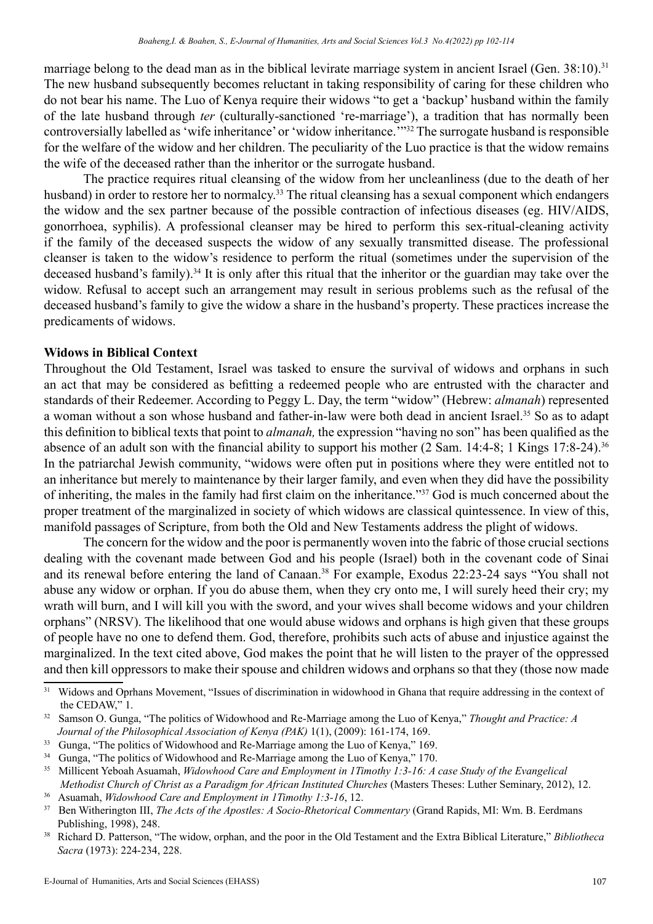marriage belong to the dead man as in the biblical levirate marriage system in ancient Israel (Gen. 38:10).<sup>31</sup> The new husband subsequently becomes reluctant in taking responsibility of caring for these children who do not bear his name. The Luo of Kenya require their widows "to get a 'backup' husband within the family of the late husband through *ter* (culturally-sanctioned 're-marriage'), a tradition that has normally been controversially labelled as 'wife inheritance' or 'widow inheritance.'"32 The surrogate husband is responsible for the welfare of the widow and her children. The peculiarity of the Luo practice is that the widow remains the wife of the deceased rather than the inheritor or the surrogate husband.

The practice requires ritual cleansing of the widow from her uncleanliness (due to the death of her husband) in order to restore her to normalcy.<sup>33</sup> The ritual cleansing has a sexual component which endangers the widow and the sex partner because of the possible contraction of infectious diseases (eg. HIV/AIDS, gonorrhoea, syphilis). A professional cleanser may be hired to perform this sex-ritual-cleaning activity if the family of the deceased suspects the widow of any sexually transmitted disease. The professional cleanser is taken to the widow's residence to perform the ritual (sometimes under the supervision of the deceased husband's family).<sup>34</sup> It is only after this ritual that the inheritor or the guardian may take over the widow. Refusal to accept such an arrangement may result in serious problems such as the refusal of the deceased husband's family to give the widow a share in the husband's property. These practices increase the predicaments of widows.

#### **Widows in Biblical Context**

Throughout the Old Testament, Israel was tasked to ensure the survival of widows and orphans in such an act that may be considered as befitting a redeemed people who are entrusted with the character and standards of their Redeemer. According to Peggy L. Day, the term "widow" (Hebrew: *almanah*) represented a woman without a son whose husband and father-in-law were both dead in ancient Israel.<sup>35</sup> So as to adapt this definition to biblical texts that point to *almanah,* the expression "having no son" has been qualified as the absence of an adult son with the financial ability to support his mother (2 Sam. 14:4-8; 1 Kings 17:8-24).<sup>36</sup> In the patriarchal Jewish community, "widows were often put in positions where they were entitled not to an inheritance but merely to maintenance by their larger family, and even when they did have the possibility of inheriting, the males in the family had first claim on the inheritance."<sup>37</sup> God is much concerned about the proper treatment of the marginalized in society of which widows are classical quintessence. In view of this, manifold passages of Scripture, from both the Old and New Testaments address the plight of widows.

The concern for the widow and the poor is permanently woven into the fabric of those crucial sections dealing with the covenant made between God and his people (Israel) both in the covenant code of Sinai and its renewal before entering the land of Canaan.<sup>38</sup> For example, Exodus 22:23-24 says "You shall not abuse any widow or orphan. If you do abuse them, when they cry onto me, I will surely heed their cry; my wrath will burn, and I will kill you with the sword, and your wives shall become widows and your children orphans" (NRSV). The likelihood that one would abuse widows and orphans is high given that these groups of people have no one to defend them. God, therefore, prohibits such acts of abuse and injustice against the marginalized. In the text cited above, God makes the point that he will listen to the prayer of the oppressed and then kill oppressors to make their spouse and children widows and orphans so that they (those now made

<sup>&</sup>lt;sup>31</sup> Widows and Oprhans Movement, "Issues of discrimination in widowhood in Ghana that require addressing in the context of the CEDAW," 1.

<sup>32</sup> Samson O. Gunga, "The politics of Widowhood and Re-Marriage among the Luo of Kenya," *Thought and Practice: A Journal of the Philosophical Association of Kenya (PAK)* 1(1), (2009): 161-174, 169.

<sup>&</sup>lt;sup>33</sup> Gunga, "The politics of Widowhood and Re-Marriage among the Luo of Kenya," 169.

<sup>&</sup>lt;sup>34</sup> Gunga, "The politics of Widowhood and Re-Marriage among the Luo of Kenya," 170.

<sup>35</sup> Millicent Yeboah Asuamah, *Widowhood Care and Employment in 1Timothy 1:3-16: A case Study of the Evangelical Methodist Church of Christ as a Paradigm for African Instituted Churches* (Masters Theses: Luther Seminary, 2012), 12.

<sup>36</sup> Asuamah, *Widowhood Care and Employment in 1Timothy 1:3-16*, 12.

<sup>&</sup>lt;sup>37</sup> Ben Witherington III, *The Acts of the Apostles: A Socio-Rhetorical Commentary* (Grand Rapids, MI: Wm. B. Eerdmans Publishing, 1998), 248.

<sup>38</sup> Richard D. Patterson, "The widow, orphan, and the poor in the Old Testament and the Extra Biblical Literature," *Bibliotheca Sacra* (1973): 224-234, 228.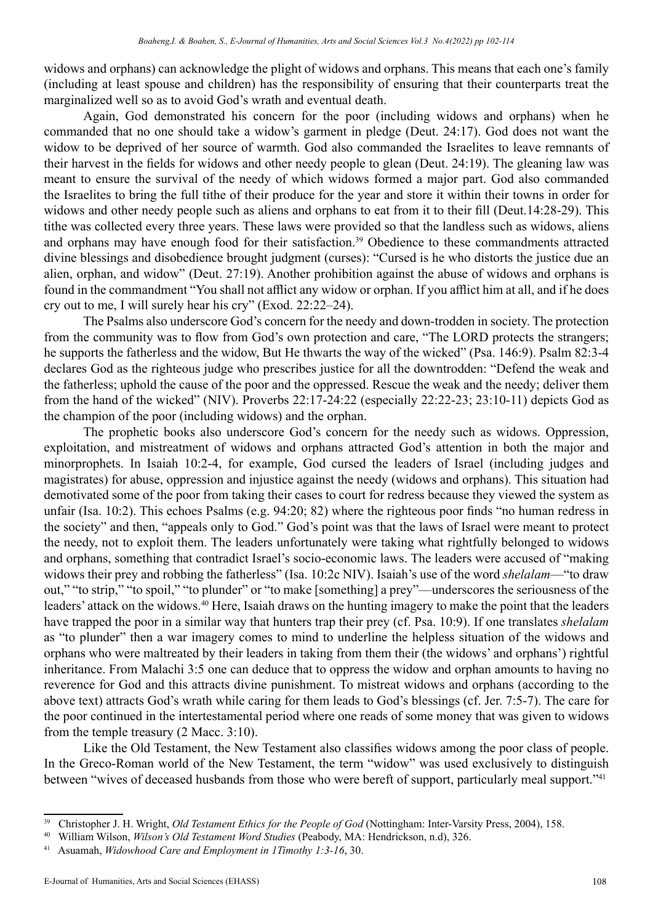widows and orphans) can acknowledge the plight of widows and orphans. This means that each one's family (including at least spouse and children) has the responsibility of ensuring that their counterparts treat the marginalized well so as to avoid God's wrath and eventual death.

Again, God demonstrated his concern for the poor (including widows and orphans) when he commanded that no one should take a widow's garment in pledge (Deut. 24:17). God does not want the widow to be deprived of her source of warmth. God also commanded the Israelites to leave remnants of their harvest in the fields for widows and other needy people to glean (Deut. 24:19). The gleaning law was meant to ensure the survival of the needy of which widows formed a major part. God also commanded the Israelites to bring the full tithe of their produce for the year and store it within their towns in order for widows and other needy people such as aliens and orphans to eat from it to their fill (Deut.14:28-29). This tithe was collected every three years. These laws were provided so that the landless such as widows, aliens and orphans may have enough food for their satisfaction.<sup>39</sup> Obedience to these commandments attracted divine blessings and disobedience brought judgment (curses): "Cursed is he who distorts the justice due an alien, orphan, and widow" (Deut. 27:19). Another prohibition against the abuse of widows and orphans is found in the commandment "You shall not afflict any widow or orphan. If you afflict him at all, and if he does cry out to me, I will surely hear his cry" (Exod. 22:22–24).

The Psalms also underscore God's concern for the needy and down-trodden in society. The protection from the community was to flow from God's own protection and care, "The LORD protects the strangers; he supports the fatherless and the widow, But He thwarts the way of the wicked" (Psa. 146:9). Psalm 82:3-4 declares God as the righteous judge who prescribes justice for all the downtrodden: "Defend the weak and the fatherless; uphold the cause of the poor and the oppressed. Rescue the weak and the needy; deliver them from the hand of the wicked" (NIV). Proverbs 22:17-24:22 (especially 22:22-23; 23:10-11) depicts God as the champion of the poor (including widows) and the orphan.

The prophetic books also underscore God's concern for the needy such as widows. Oppression, exploitation, and mistreatment of widows and orphans attracted God's attention in both the major and minorprophets. In Isaiah 10:2-4, for example, God cursed the leaders of Israel (including judges and magistrates) for abuse, oppression and injustice against the needy (widows and orphans). This situation had demotivated some of the poor from taking their cases to court for redress because they viewed the system as unfair (Isa. 10:2). This echoes Psalms (e.g. 94:20; 82) where the righteous poor finds "no human redress in the society" and then, "appeals only to God." God's point was that the laws of Israel were meant to protect the needy, not to exploit them. The leaders unfortunately were taking what rightfully belonged to widows and orphans, something that contradict Israel's socio-economic laws. The leaders were accused of "making widows their prey and robbing the fatherless" (Isa. 10:2c NIV). Isaiah's use of the word *shelalam*—"to draw out," "to strip," "to spoil," "to plunder" or "to make [something] a prey"—underscores the seriousness of the leaders' attack on the widows.<sup>40</sup> Here, Isaiah draws on the hunting imagery to make the point that the leaders have trapped the poor in a similar way that hunters trap their prey (cf. Psa. 10:9). If one translates *shelalam*  as "to plunder" then a war imagery comes to mind to underline the helpless situation of the widows and orphans who were maltreated by their leaders in taking from them their (the widows' and orphans') rightful inheritance. From Malachi 3:5 one can deduce that to oppress the widow and orphan amounts to having no reverence for God and this attracts divine punishment. To mistreat widows and orphans (according to the above text) attracts God's wrath while caring for them leads to God's blessings (cf. Jer. 7:5-7). The care for the poor continued in the intertestamental period where one reads of some money that was given to widows from the temple treasury (2 Macc. 3:10).

Like the Old Testament, the New Testament also classifies widows among the poor class of people. In the Greco-Roman world of the New Testament, the term "widow" was used exclusively to distinguish between "wives of deceased husbands from those who were bereft of support, particularly meal support."<sup>41</sup>

<sup>&</sup>lt;sup>39</sup> Christopher J. H. Wright, *Old Testament Ethics for the People of God* (Nottingham: Inter-Varsity Press, 2004), 158.

<sup>40</sup> William Wilson, *Wilson's Old Testament Word Studies* (Peabody, MA: Hendrickson, n.d), 326.

<sup>41</sup> Asuamah, *Widowhood Care and Employment in 1Timothy 1:3-16*, 30.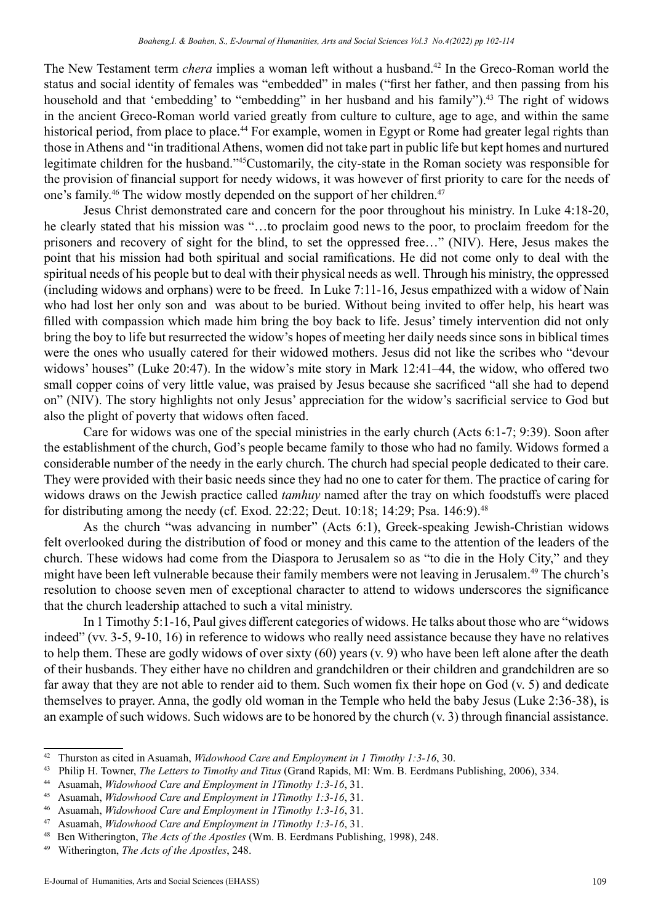The New Testament term *chera* implies a woman left without a husband.<sup>42</sup> In the Greco-Roman world the status and social identity of females was "embedded" in males ("first her father, and then passing from his household and that 'embedding' to "embedding" in her husband and his family").<sup>43</sup> The right of widows in the ancient Greco-Roman world varied greatly from culture to culture, age to age, and within the same historical period, from place to place.<sup>44</sup> For example, women in Egypt or Rome had greater legal rights than those in Athens and "in traditional Athens, women did not take part in public life but kept homes and nurtured legitimate children for the husband."<sup>45</sup>Customarily, the city-state in the Roman society was responsible for the provision of financial support for needy widows, it was however of first priority to care for the needs of one's family.<sup>46</sup> The widow mostly depended on the support of her children.<sup>47</sup>

Jesus Christ demonstrated care and concern for the poor throughout his ministry. In Luke 4:18-20, he clearly stated that his mission was "…to proclaim good news to the poor, to proclaim freedom for the prisoners and recovery of sight for the blind, to set the oppressed free…" (NIV). Here, Jesus makes the point that his mission had both spiritual and social ramifications. He did not come only to deal with the spiritual needs of his people but to deal with their physical needs as well. Through his ministry, the oppressed (including widows and orphans) were to be freed. In Luke 7:11-16, Jesus empathized with a widow of Nain who had lost her only son and was about to be buried. Without being invited to offer help, his heart was filled with compassion which made him bring the boy back to life. Jesus' timely intervention did not only bring the boy to life but resurrected the widow's hopes of meeting her daily needs since sons in biblical times were the ones who usually catered for their widowed mothers. Jesus did not like the scribes who "devour widows' houses" (Luke 20:47). In the widow's mite story in Mark 12:41–44, the widow, who offered two small copper coins of very little value, was praised by Jesus because she sacrificed "all she had to depend on" (NIV). The story highlights not only Jesus' appreciation for the widow's sacrificial service to God but also the plight of poverty that widows often faced.

Care for widows was one of the special ministries in the early church (Acts 6:1-7; 9:39). Soon after the establishment of the church, God's people became family to those who had no family. Widows formed a considerable number of the needy in the early church. The church had special people dedicated to their care. They were provided with their basic needs since they had no one to cater for them. The practice of caring for widows draws on the Jewish practice called *tamhuy* named after the tray on which foodstuffs were placed for distributing among the needy (cf. Exod. 22:22; Deut. 10:18; 14:29; Psa. 146:9).<sup>48</sup>

As the church "was advancing in number" (Acts 6:1), Greek-speaking Jewish-Christian widows felt overlooked during the distribution of food or money and this came to the attention of the leaders of the church. These widows had come from the Diaspora to Jerusalem so as "to die in the Holy City," and they might have been left vulnerable because their family members were not leaving in Jerusalem.<sup>49</sup> The church's resolution to choose seven men of exceptional character to attend to widows underscores the significance that the church leadership attached to such a vital ministry.

In 1 Timothy 5:1-16, Paul gives different categories of widows. He talks about those who are "widows indeed" (vv. 3-5, 9-10, 16) in reference to widows who really need assistance because they have no relatives to help them. These are godly widows of over sixty (60) years (v. 9) who have been left alone after the death of their husbands. They either have no children and grandchildren or their children and grandchildren are so far away that they are not able to render aid to them. Such women fix their hope on God (v. 5) and dedicate themselves to prayer. Anna, the godly old woman in the Temple who held the baby Jesus (Luke 2:36-38), is an example of such widows. Such widows are to be honored by the church (v. 3) through financial assistance.

<sup>42</sup> Thurston as cited in Asuamah, *Widowhood Care and Employment in 1 Timothy 1:3-16*, 30.

<sup>43</sup> Philip H. Towner, *The Letters to Timothy and Titus* (Grand Rapids, MI: Wm. B. Eerdmans Publishing, 2006), 334.

<sup>44</sup> Asuamah, *Widowhood Care and Employment in 1Timothy 1:3-16*, 31.

<sup>45</sup> Asuamah, *Widowhood Care and Employment in 1Timothy 1:3-16*, 31.

<sup>46</sup> Asuamah, *Widowhood Care and Employment in 1Timothy 1:3-16*, 31.

<sup>47</sup> Asuamah, *Widowhood Care and Employment in 1Timothy 1:3-16*, 31.

<sup>48</sup> Ben Witherington, *The Acts of the Apostles* (Wm. B. Eerdmans Publishing, 1998), 248.

<sup>49</sup> Witherington, *The Acts of the Apostles*, 248.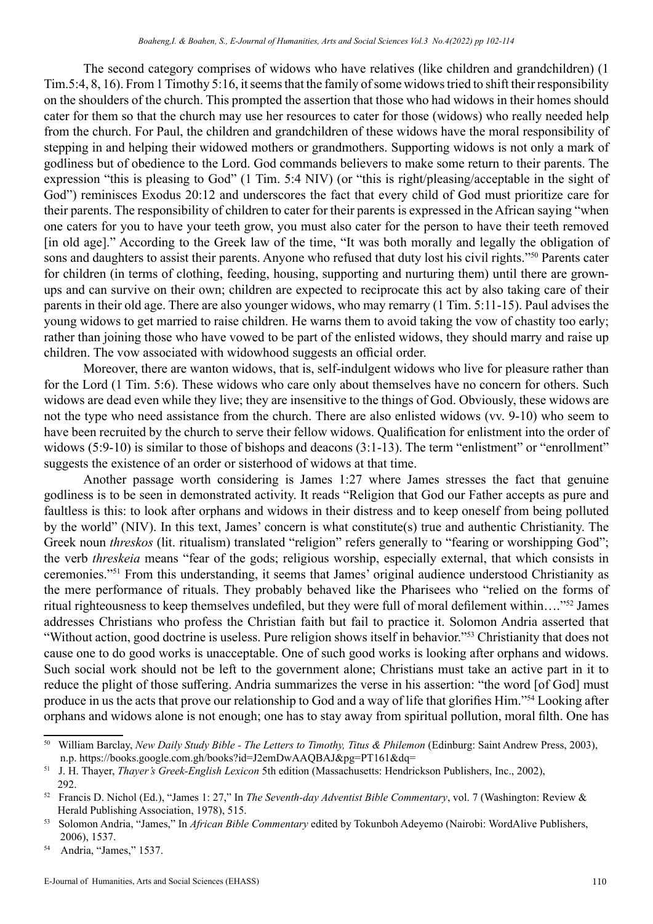The second category comprises of widows who have relatives (like children and grandchildren) (1 Tim.5:4, 8, 16). From 1 Timothy 5:16, it seems that the family of some widows tried to shift their responsibility on the shoulders of the church. This prompted the assertion that those who had widows in their homes should cater for them so that the church may use her resources to cater for those (widows) who really needed help from the church. For Paul, the children and grandchildren of these widows have the moral responsibility of stepping in and helping their widowed mothers or grandmothers. Supporting widows is not only a mark of godliness but of obedience to the Lord. God commands believers to make some return to their parents. The expression "this is pleasing to God" (1 Tim. 5:4 NIV) (or "this is right/pleasing/acceptable in the sight of God") reminisces Exodus 20:12 and underscores the fact that every child of God must prioritize care for their parents. The responsibility of children to cater for their parents is expressed in the African saying "when one caters for you to have your teeth grow, you must also cater for the person to have their teeth removed [in old age]." According to the Greek law of the time, "It was both morally and legally the obligation of sons and daughters to assist their parents. Anyone who refused that duty lost his civil rights."<sup>50</sup> Parents cater for children (in terms of clothing, feeding, housing, supporting and nurturing them) until there are grownups and can survive on their own; children are expected to reciprocate this act by also taking care of their parents in their old age. There are also younger widows, who may remarry (1 Tim. 5:11-15). Paul advises the young widows to get married to raise children. He warns them to avoid taking the vow of chastity too early; rather than joining those who have vowed to be part of the enlisted widows, they should marry and raise up children. The vow associated with widowhood suggests an official order.

Moreover, there are wanton widows, that is, self-indulgent widows who live for pleasure rather than for the Lord (1 Tim. 5:6). These widows who care only about themselves have no concern for others. Such widows are dead even while they live; they are insensitive to the things of God. Obviously, these widows are not the type who need assistance from the church. There are also enlisted widows (vv. 9-10) who seem to have been recruited by the church to serve their fellow widows. Qualification for enlistment into the order of widows (5:9-10) is similar to those of bishops and deacons (3:1-13). The term "enlistment" or "enrollment" suggests the existence of an order or sisterhood of widows at that time.

Another passage worth considering is James 1:27 where James stresses the fact that genuine godliness is to be seen in demonstrated activity. It reads "Religion that God our Father accepts as pure and faultless is this: to look after orphans and widows in their distress and to keep oneself from being polluted by the world" (NIV). In this text, James' concern is what constitute(s) true and authentic Christianity. The Greek noun *threskos* (lit. ritualism) translated "religion" refers generally to "fearing or worshipping God"; the verb *threskeia* means "fear of the gods; religious worship, especially external, that which consists in ceremonies."<sup>51</sup> From this understanding, it seems that James' original audience understood Christianity as the mere performance of rituals. They probably behaved like the Pharisees who "relied on the forms of ritual righteousness to keep themselves undefiled, but they were full of moral defilement within…."52 James addresses Christians who profess the Christian faith but fail to practice it. Solomon Andria asserted that "Without action, good doctrine is useless. Pure religion shows itself in behavior."<sup>53</sup> Christianity that does not cause one to do good works is unacceptable. One of such good works is looking after orphans and widows. Such social work should not be left to the government alone; Christians must take an active part in it to reduce the plight of those suffering. Andria summarizes the verse in his assertion: "the word [of God] must produce in us the acts that prove our relationship to God and a way of life that glorifies Him."<sup>54</sup> Looking after orphans and widows alone is not enough; one has to stay away from spiritual pollution, moral filth. One has

<sup>50</sup> William Barclay, *New Daily Study Bible - The Letters to Timothy, Titus & Philemon* (Edinburg: Saint Andrew Press, 2003), n.p. https://books.google.com.gh/books?id=J2emDwAAQBAJ&pg=PT161&dq=

<sup>51</sup> J. H. Thayer, *Thayer's Greek-English Lexicon* 5th edition (Massachusetts: Hendrickson Publishers, Inc., 2002), 292.

<sup>52</sup> Francis D. Nichol (Ed.), "James 1: 27," In *The Seventh-day Adventist Bible Commentary*, vol. 7 (Washington: Review & Herald Publishing Association, 1978), 515.

<sup>53</sup> Solomon Andria, "James," In *African Bible Commentary* edited by Tokunboh Adeyemo (Nairobi: WordAlive Publishers, 2006), 1537.

<sup>54</sup> Andria, "James," 1537.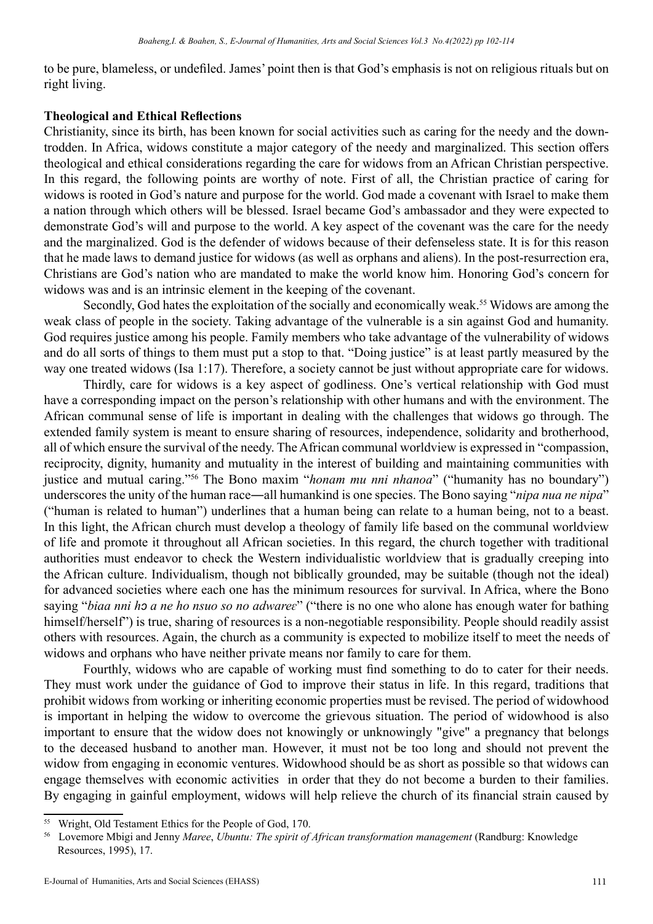to be pure, blameless, or undefiled. James' point then is that God's emphasis is not on religious rituals but on right living.

#### **Theological and Ethical Reflections**

Christianity, since its birth, has been known for social activities such as caring for the needy and the downtrodden. In Africa, widows constitute a major category of the needy and marginalized. This section offers theological and ethical considerations regarding the care for widows from an African Christian perspective. In this regard, the following points are worthy of note. First of all, the Christian practice of caring for widows is rooted in God's nature and purpose for the world. God made a covenant with Israel to make them a nation through which others will be blessed. Israel became God's ambassador and they were expected to demonstrate God's will and purpose to the world. A key aspect of the covenant was the care for the needy and the marginalized. God is the defender of widows because of their defenseless state. It is for this reason that he made laws to demand justice for widows (as well as orphans and aliens). In the post-resurrection era, Christians are God's nation who are mandated to make the world know him. Honoring God's concern for widows was and is an intrinsic element in the keeping of the covenant.

Secondly, God hates the exploitation of the socially and economically weak.<sup>55</sup> Widows are among the weak class of people in the society. Taking advantage of the vulnerable is a sin against God and humanity. God requires justice among his people. Family members who take advantage of the vulnerability of widows and do all sorts of things to them must put a stop to that. "Doing justice" is at least partly measured by the way one treated widows (Isa 1:17). Therefore, a society cannot be just without appropriate care for widows.

Thirdly, care for widows is a key aspect of godliness. One's vertical relationship with God must have a corresponding impact on the person's relationship with other humans and with the environment. The African communal sense of life is important in dealing with the challenges that widows go through. The extended family system is meant to ensure sharing of resources, independence, solidarity and brotherhood, all of which ensure the survival of the needy. The African communal worldview is expressed in "compassion, reciprocity, dignity, humanity and mutuality in the interest of building and maintaining communities with justice and mutual caring."56 The Bono maxim "*honam mu nni nhanoa*" ("humanity has no boundary") underscores the unity of the human race―all humankind is one species. The Bono saying "*nipa nua ne nipa*" ("human is related to human") underlines that a human being can relate to a human being, not to a beast. In this light, the African church must develop a theology of family life based on the communal worldview of life and promote it throughout all African societies. In this regard, the church together with traditional authorities must endeavor to check the Western individualistic worldview that is gradually creeping into the African culture. Individualism, though not biblically grounded, may be suitable (though not the ideal) for advanced societies where each one has the minimum resources for survival. In Africa, where the Bono saying "*biaa nni hɔ a ne ho nsuo so no adwareɛ*" ("there is no one who alone has enough water for bathing himself/herself") is true, sharing of resources is a non-negotiable responsibility. People should readily assist others with resources. Again, the church as a community is expected to mobilize itself to meet the needs of widows and orphans who have neither private means nor family to care for them.

Fourthly, widows who are capable of working must find something to do to cater for their needs. They must work under the guidance of God to improve their status in life. In this regard, traditions that prohibit widows from working or inheriting economic properties must be revised. The period of widowhood is important in helping the widow to overcome the grievous situation. The period of widowhood is also important to ensure that the widow does not knowingly or unknowingly "give" a pregnancy that belongs to the deceased husband to another man. However, it must not be too long and should not prevent the widow from engaging in economic ventures. Widowhood should be as short as possible so that widows can engage themselves with economic activities in order that they do not become a burden to their families. By engaging in gainful employment, widows will help relieve the church of its financial strain caused by

<sup>55</sup> Wright, Old Testament Ethics for the People of God, 170.

<sup>56</sup> Lovemore Mbigi and Jenny *Maree*, *Ubuntu: The spirit of African transformation management* (Randburg: Knowledge Resources, 1995), 17.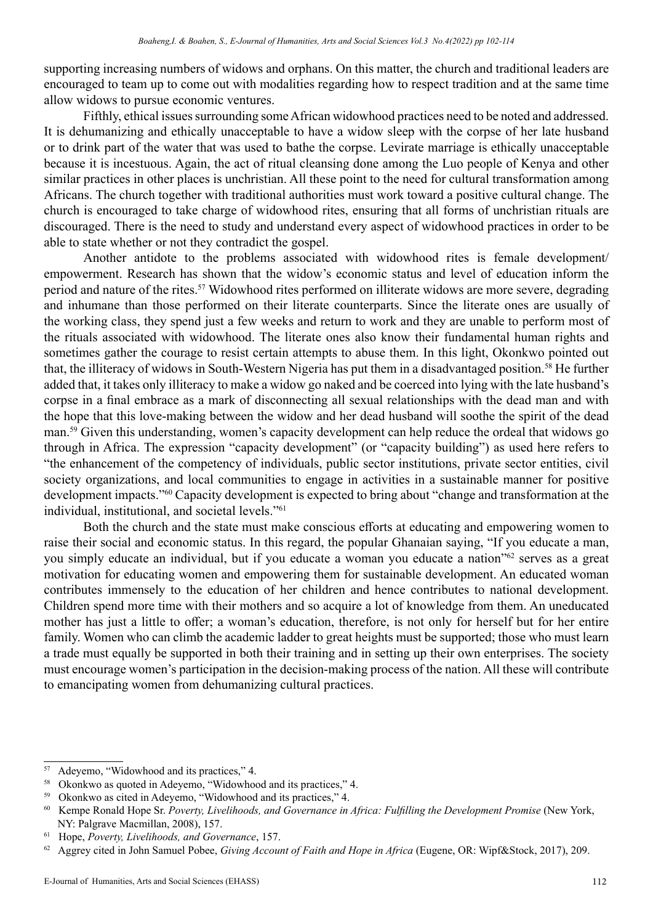supporting increasing numbers of widows and orphans. On this matter, the church and traditional leaders are encouraged to team up to come out with modalities regarding how to respect tradition and at the same time allow widows to pursue economic ventures.

Fifthly, ethical issues surrounding some African widowhood practices need to be noted and addressed. It is dehumanizing and ethically unacceptable to have a widow sleep with the corpse of her late husband or to drink part of the water that was used to bathe the corpse. Levirate marriage is ethically unacceptable because it is incestuous. Again, the act of ritual cleansing done among the Luo people of Kenya and other similar practices in other places is unchristian. All these point to the need for cultural transformation among Africans. The church together with traditional authorities must work toward a positive cultural change. The church is encouraged to take charge of widowhood rites, ensuring that all forms of unchristian rituals are discouraged. There is the need to study and understand every aspect of widowhood practices in order to be able to state whether or not they contradict the gospel.

Another antidote to the problems associated with widowhood rites is female development/ empowerment. Research has shown that the widow's economic status and level of education inform the period and nature of the rites.<sup>57</sup> Widowhood rites performed on illiterate widows are more severe, degrading and inhumane than those performed on their literate counterparts. Since the literate ones are usually of the working class, they spend just a few weeks and return to work and they are unable to perform most of the rituals associated with widowhood. The literate ones also know their fundamental human rights and sometimes gather the courage to resist certain attempts to abuse them. In this light, Okonkwo pointed out that, the illiteracy of widows in South-Western Nigeria has put them in a disadvantaged position.<sup>58</sup> He further added that, it takes only illiteracy to make a widow go naked and be coerced into lying with the late husband's corpse in a final embrace as a mark of disconnecting all sexual relationships with the dead man and with the hope that this love-making between the widow and her dead husband will soothe the spirit of the dead man.59 Given this understanding, women's capacity development can help reduce the ordeal that widows go through in Africa. The expression "capacity development" (or "capacity building") as used here refers to "the enhancement of the competency of individuals, public sector institutions, private sector entities, civil society organizations, and local communities to engage in activities in a sustainable manner for positive development impacts."60 Capacity development is expected to bring about "change and transformation at the individual, institutional, and societal levels."61

Both the church and the state must make conscious efforts at educating and empowering women to raise their social and economic status. In this regard, the popular Ghanaian saying, "If you educate a man, you simply educate an individual, but if you educate a woman you educate a nation"62 serves as a great motivation for educating women and empowering them for sustainable development. An educated woman contributes immensely to the education of her children and hence contributes to national development. Children spend more time with their mothers and so acquire a lot of knowledge from them. An uneducated mother has just a little to offer; a woman's education, therefore, is not only for herself but for her entire family. Women who can climb the academic ladder to great heights must be supported; those who must learn a trade must equally be supported in both their training and in setting up their own enterprises. The society must encourage women's participation in the decision-making process of the nation. All these will contribute to emancipating women from dehumanizing cultural practices.

<sup>57</sup> Adeyemo, "Widowhood and its practices," 4.

<sup>58</sup> Okonkwo as quoted in Adeyemo, "Widowhood and its practices," 4.

<sup>59</sup> Okonkwo as cited in Adeyemo, "Widowhood and its practices," 4.

<sup>60</sup> Kempe Ronald Hope Sr. *Poverty, Livelihoods, and Governance in Africa: Fulfilling the Development Promise* (New York, NY: Palgrave Macmillan, 2008), 157.

<sup>61</sup> Hope, *Poverty, Livelihoods, and Governance*, 157.

<sup>62</sup> Aggrey cited in John Samuel Pobee, *Giving Account of Faith and Hope in Africa* (Eugene, OR: Wipf&Stock, 2017), 209.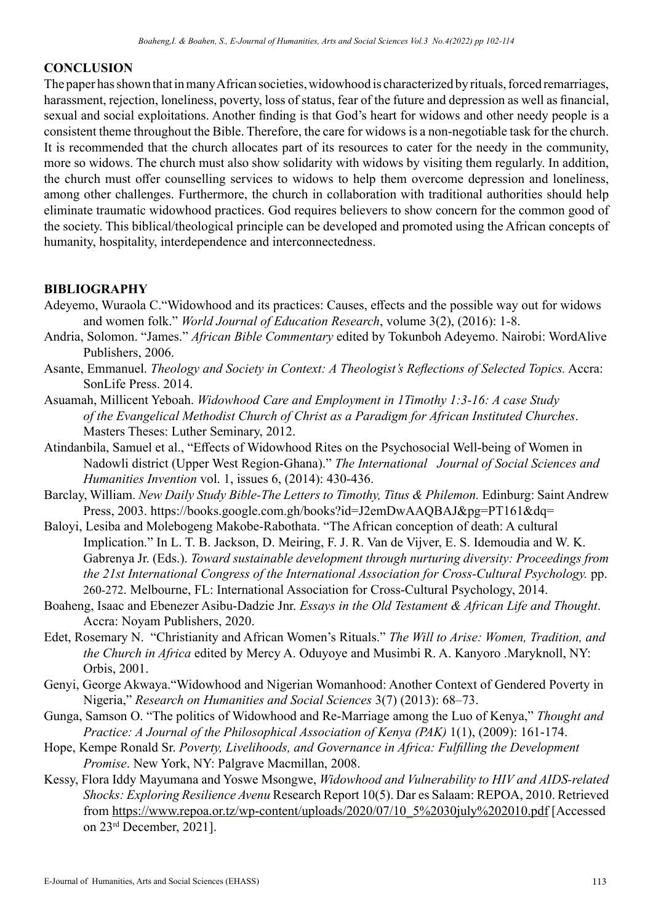#### **CONCLUSION**

The paper has shown that in many African societies, widowhood is characterized by rituals, forced remarriages, harassment, rejection, loneliness, poverty, loss of status, fear of the future and depression as well as financial, sexual and social exploitations. Another finding is that God's heart for widows and other needy people is a consistent theme throughout the Bible. Therefore, the care for widows is a non-negotiable task for the church. It is recommended that the church allocates part of its resources to cater for the needy in the community, more so widows. The church must also show solidarity with widows by visiting them regularly. In addition, the church must offer counselling services to widows to help them overcome depression and loneliness, among other challenges. Furthermore, the church in collaboration with traditional authorities should help eliminate traumatic widowhood practices. God requires believers to show concern for the common good of the society. This biblical/theological principle can be developed and promoted using the African concepts of humanity, hospitality, interdependence and interconnectedness.

#### **BIBLIOGRAPHY**

- Adeyemo, Wuraola C."Widowhood and its practices: Causes, effects and the possible way out for widows and women folk." *World Journal of Education Research*, volume 3(2), (2016): 1-8.
- Andria, Solomon. "James." *African Bible Commentary* edited by Tokunboh Adeyemo. Nairobi: WordAlive Publishers, 2006.
- Asante, Emmanuel. *Theology and Society in Context: A Theologist's Reflections of Selected Topics.* Accra: SonLife Press. 2014.
- Asuamah, Millicent Yeboah. *Widowhood Care and Employment in 1Timothy 1:3-16: A case Study of the Evangelical Methodist Church of Christ as a Paradigm for African Instituted Churches*. Masters Theses: Luther Seminary, 2012.
- Atindanbila, Samuel et al., "Effects of Widowhood Rites on the Psychosocial Well-being of Women in Nadowli district (Upper West Region-Ghana)." *The International Journal of Social Sciences and Humanities Invention* vol. 1, issues 6, (2014): 430-436.
- Barclay, William. *New Daily Study Bible-The Letters to Timothy, Titus & Philemon.* Edinburg: Saint Andrew Press, 2003. https://books.google.com.gh/books?id=J2emDwAAQBAJ&pg=PT161&dq=
- Baloyi, Lesiba and Molebogeng Makobe-Rabothata. "The African conception of death: A cultural Implication." In L. T. B. Jackson, D. Meiring, F. J. R. Van de Vijver, E. S. Idemoudia and W. K. Gabrenya Jr. (Eds.). *Toward sustainable development through nurturing diversity: Proceedings from the 21st International Congress of the International Association for Cross-Cultural Psychology.* pp. 260-272. Melbourne, FL: International Association for Cross-Cultural Psychology, 2014.
- Boaheng, Isaac and Ebenezer Asibu-Dadzie Jnr. *Essays in the Old Testament & African Life and Thought*. Accra: Noyam Publishers, 2020.
- Edet, Rosemary N. "Christianity and African Women's Rituals." *The Will to Arise: Women, Tradition, and the Church in Africa* edited by Mercy A. Oduyoye and Musimbi R. A. Kanyoro .Maryknoll, NY: Orbis, 2001.
- Genyi, George Akwaya."Widowhood and Nigerian Womanhood: Another Context of Gendered Poverty in Nigeria," *Research on Humanities and Social Sciences* 3(7) (2013): 68–73.
- Gunga, Samson O. "The politics of Widowhood and Re-Marriage among the Luo of Kenya," *Thought and Practice: A Journal of the Philosophical Association of Kenya (PAK)* 1(1), (2009): 161-174.
- Hope, Kempe Ronald Sr. *Poverty, Livelihoods, and Governance in Africa: Fulfilling the Development Promise*. New York, NY: Palgrave Macmillan, 2008.
- Kessy, Flora Iddy Mayumana and Yoswe Msongwe, *Widowhood and Vulnerability to HIV and AIDS-related Shocks: Exploring Resilience Avenu* Research Report 10(5). Dar es Salaam: REPOA, 2010. Retrieved from https://www.repoa.or.tz/wp-content/uploads/2020/07/10\_5%2030july%202010.pdf [Accessed on 23rd December, 2021].